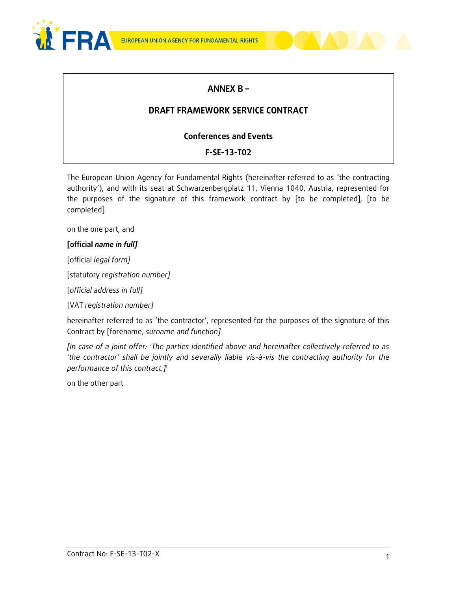



# **ANNEX B –**

# **DRAFT FRAMEWORK SERVICE CONTRACT**

### **Conferences and Events**

### **F-SE-13-T02**

The European Union Agency for Fundamental Rights (hereinafter referred to as 'the contracting authority'), and with its seat at Schwarzenbergplatz 11, Vienna 1040, Austria, represented for the purposes of the signature of this framework contract by [to be completed], [to be completed]

on the one part, and

#### **[official** *name in full]*

[official *legal form]*

[statutory *registration number]*

[*official address in full]* 

[VAT *registration number]*

hereinafter referred to as 'the contractor', represented for the purposes of the signature of this Contract by [forename, *surname and function]*

*[In case of a joint offer: 'The parties identified above and hereinafter collectively referred to as 'the contractor' shall be jointly and severally liable vis-à-vis the contracting authority for the performance of this contract.]*'

on the other part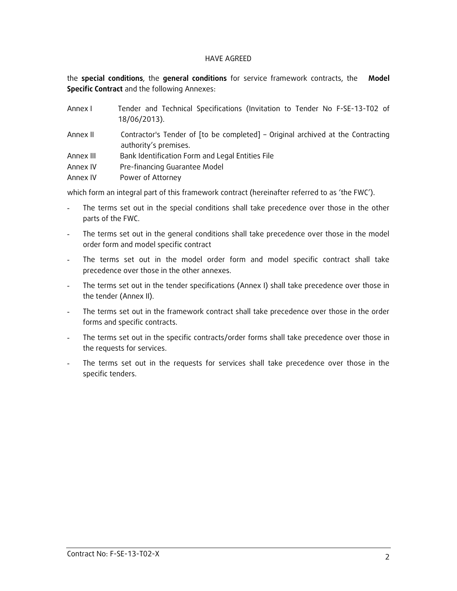#### HAVE AGREED

the **special conditions**, the **general conditions** for service framework contracts, the **Model Specific Contract** and the following Annexes:

| Annex I   | Tender and Technical Specifications (Invitation to Tender No F-SE-13-T02 of<br>18/06/2013).              |  |
|-----------|----------------------------------------------------------------------------------------------------------|--|
| Annex II  | Contractor's Tender of [to be completed] – Original archived at the Contracting<br>authority's premises. |  |
| Annex III | Bank Identification Form and Legal Entities File                                                         |  |
| Annex IV  | Pre-financing Guarantee Model                                                                            |  |
| Annex IV  | Power of Attorney                                                                                        |  |

which form an integral part of this framework contract (hereinafter referred to as 'the FWC').

- The terms set out in the special conditions shall take precedence over those in the other parts of the FWC.
- The terms set out in the general conditions shall take precedence over those in the model order form and model specific contract
- The terms set out in the model order form and model specific contract shall take precedence over those in the other annexes.
- The terms set out in the tender specifications (Annex I) shall take precedence over those in the tender (Annex II).
- The terms set out in the framework contract shall take precedence over those in the order forms and specific contracts.
- The terms set out in the specific contracts/order forms shall take precedence over those in the requests for services.
- The terms set out in the requests for services shall take precedence over those in the specific tenders.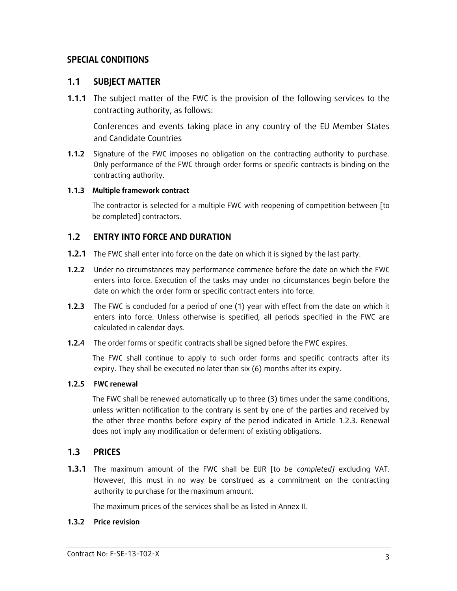### **SPECIAL CONDITIONS**

#### **1.1 SUBJECT MATTER**

**1.1.1** The subject matter of the FWC is the provision of the following services to the contracting authority, as follows:

Conferences and events taking place in any country of the EU Member States and Candidate Countries

**1.1.2** Signature of the FWC imposes no obligation on the contracting authority to purchase. Only performance of the FWC through order forms or specific contracts is binding on the contracting authority.

#### **1.1.3 Multiple framework contract**

The contractor is selected for a multiple FWC with reopening of competition between [to be completed] contractors.

### **1.2 ENTRY INTO FORCE AND DURATION**

- **1.2.1** The FWC shall enter into force on the date on which it is signed by the last party.
- **1.2.2** Under no circumstances may performance commence before the date on which the FWC enters into force. Execution of the tasks may under no circumstances begin before the date on which the order form or specific contract enters into force.
- **1.2.3** The FWC is concluded for a period of one (1) year with effect from the date on which it enters into force. Unless otherwise is specified, all periods specified in the FWC are calculated in calendar days.
- **1.2.4** The order forms or specific contracts shall be signed before the FWC expires.

The FWC shall continue to apply to such order forms and specific contracts after its expiry. They shall be executed no later than six (6) months after its expiry.

#### **1.2.5 FWC renewal**

The FWC shall be renewed automatically up to three (3) times under the same conditions, unless written notification to the contrary is sent by one of the parties and received by the other three months before expiry of the period indicated in Article 1.2.3. Renewal does not imply any modification or deferment of existing obligations.

### **1.3 PRICES**

**1.3.1** The maximum amount of the FWC shall be EUR [to *be completed]* excluding VAT. However, this must in no way be construed as a commitment on the contracting authority to purchase for the maximum amount.

The maximum prices of the services shall be as listed in Annex II.

#### **1.3.2 Price revision**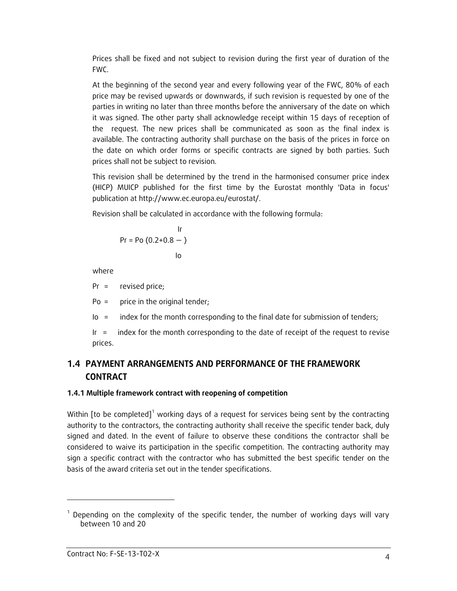Prices shall be fixed and not subject to revision during the first year of duration of the FWC.

At the beginning of the second year and every following year of the FWC, 80% of each price may be revised upwards or downwards, if such revision is requested by one of the parties in writing no later than three months before the anniversary of the date on which it was signed. The other party shall acknowledge receipt within 15 days of reception of the request. The new prices shall be communicated as soon as the final index is available. The contracting authority shall purchase on the basis of the prices in force on the date on which order forms or specific contracts are signed by both parties. Such prices shall not be subject to revision.

This revision shall be determined by the trend in the harmonised consumer price index (HICP) MUICP published for the first time by the Eurostat monthly 'Data in focus' publication at http://www.ec.europa.eu/eurostat/.

Revision shall be calculated in accordance with the following formula:

 Ir Pr = Po (0.2+0.8 — ) Io

where

Pr = revised price;

Po = price in the original tender;

Io = index for the month corresponding to the final date for submission of tenders;

Ir = index for the month corresponding to the date of receipt of the request to revise prices.

# **1.4 PAYMENT ARRANGEMENTS AND PERFORMANCE OF THE FRAMEWORK CONTRACT**

### **1.4.1 Multiple framework contract with reopening of competition**

Within [to be completed]<sup>1</sup> working days of a request for services being sent by the contracting authority to the contractors, the contracting authority shall receive the specific tender back, duly signed and dated. In the event of failure to observe these conditions the contractor shall be considered to waive its participation in the specific competition. The contracting authority may sign a specific contract with the contractor who has submitted the best specific tender on the basis of the award criteria set out in the tender specifications.

-

 $1$  Depending on the complexity of the specific tender, the number of working days will vary between 10 and 20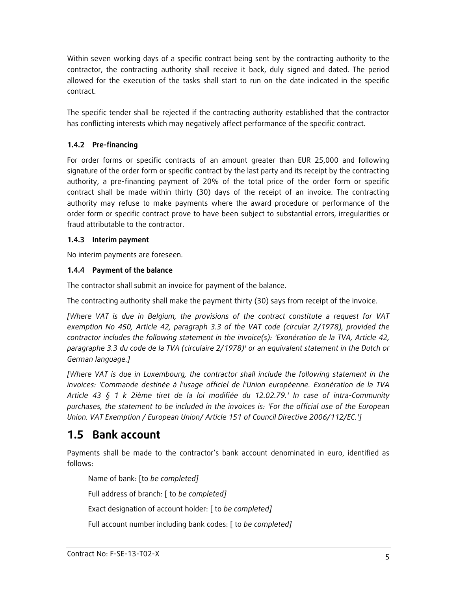Within seven working days of a specific contract being sent by the contracting authority to the contractor, the contracting authority shall receive it back, duly signed and dated. The period allowed for the execution of the tasks shall start to run on the date indicated in the specific contract.

The specific tender shall be rejected if the contracting authority established that the contractor has conflicting interests which may negatively affect performance of the specific contract.

### **1.4.2 Pre-financing**

For order forms or specific contracts of an amount greater than EUR 25,000 and following signature of the order form or specific contract by the last party and its receipt by the contracting authority, a pre-financing payment of 20% of the total price of the order form or specific contract shall be made within thirty (30) days of the receipt of an invoice. The contracting authority may refuse to make payments where the award procedure or performance of the order form or specific contract prove to have been subject to substantial errors, irregularities or fraud attributable to the contractor.

### **1.4.3 Interim payment**

No interim payments are foreseen.

# **1.4.4 Payment of the balance**

The contractor shall submit an invoice for payment of the balance.

The contracting authority shall make the payment thirty (30) says from receipt of the invoice.

*[Where VAT is due in Belgium, the provisions of the contract constitute a request for VAT exemption No 450, Article 42, paragraph 3.3 of the VAT code (circular 2/1978), provided the contractor includes the following statement in the invoice(s): 'Exonération de la TVA, Article 42, paragraphe 3.3 du code de la TVA (circulaire 2/1978)' or an equivalent statement in the Dutch or German language.]*

*[Where VAT is due in Luxembourg, the contractor shall include the following statement in the invoices: 'Commande destinée à l'usage officiel de l'Union européenne. Exonération de la TVA Article 43 § 1 k 2ième tiret de la loi modifiée du 12.02.79.' In case of intra-Community purchases, the statement to be included in the invoices is: 'For the official use of the European Union. VAT Exemption / European Union/ Article 151 of Council Directive 2006/112/EC.']*

# **1.5 Bank account**

Payments shall be made to the contractor's bank account denominated in euro, identified as follows:

Name of bank: [to *be completed]* Full address of branch: [ to *be completed]* Exact designation of account holder: [ to *be completed]* Full account number including bank codes: [ to *be completed]*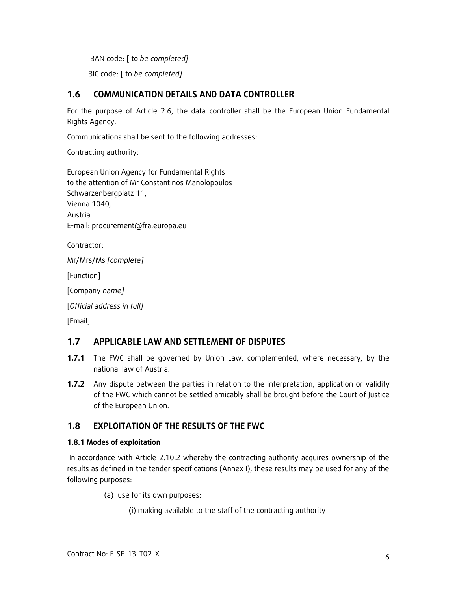IBAN code: [ to *be completed]*

BIC code: [ to *be completed]*

### **1.6 COMMUNICATION DETAILS AND DATA CONTROLLER**

For the purpose of Article 2.6, the data controller shall be the European Union Fundamental Rights Agency.

Communications shall be sent to the following addresses:

Contracting authority:

European Union Agency for Fundamental Rights to the attention of Mr Constantinos Manolopoulos Schwarzenbergplatz 11, Vienna 1040, Austria E-mail: procurement@fra.europa.eu

Contractor:

Mr/Mrs/Ms *[complete]*

[Function]

[Company *name]*

[*Official address in full]*

[Email]

### **1.7 APPLICABLE LAW AND SETTLEMENT OF DISPUTES**

- **1.7.1** The FWC shall be governed by Union Law, complemented, where necessary, by the national law of Austria.
- **1.7.2** Any dispute between the parties in relation to the interpretation, application or validity of the FWC which cannot be settled amicably shall be brought before the Court of Justice of the European Union.

### **1.8 EXPLOITATION OF THE RESULTS OF THE FWC**

#### **1.8.1 Modes of exploitation**

In accordance with Article 2.10.2 whereby the contracting authority acquires ownership of the results as defined in the tender specifications (Annex I), these results may be used for any of the following purposes:

(a) use for its own purposes:

(i) making available to the staff of the contracting authority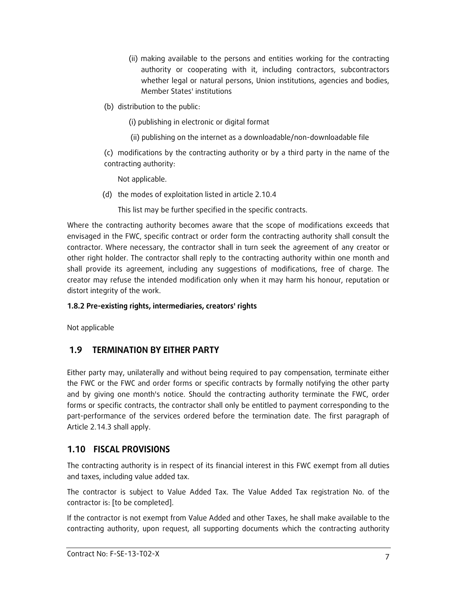- (ii) making available to the persons and entities working for the contracting authority or cooperating with it, including contractors, subcontractors whether legal or natural persons, Union institutions, agencies and bodies, Member States' institutions
- (b) distribution to the public:

(i) publishing in electronic or digital format

(ii) publishing on the internet as a downloadable/non-downloadable file

(c) modifications by the contracting authority or by a third party in the name of the contracting authority:

Not applicable.

(d) the modes of exploitation listed in article 2.10.4

This list may be further specified in the specific contracts.

Where the contracting authority becomes aware that the scope of modifications exceeds that envisaged in the FWC, specific contract or order form the contracting authority shall consult the contractor. Where necessary, the contractor shall in turn seek the agreement of any creator or other right holder. The contractor shall reply to the contracting authority within one month and shall provide its agreement, including any suggestions of modifications, free of charge. The creator may refuse the intended modification only when it may harm his honour, reputation or distort integrity of the work.

### **1.8.2 Pre-existing rights, intermediaries, creators' rights**

Not applicable

# **1.9 TERMINATION BY EITHER PARTY**

Either party may, unilaterally and without being required to pay compensation, terminate either the FWC or the FWC and order forms or specific contracts by formally notifying the other party and by giving one month's notice. Should the contracting authority terminate the FWC, order forms or specific contracts, the contractor shall only be entitled to payment corresponding to the part-performance of the services ordered before the termination date. The first paragraph of Article 2.14.3 shall apply.

# **1.10 FISCAL PROVISIONS**

The contracting authority is in respect of its financial interest in this FWC exempt from all duties and taxes, including value added tax.

The contractor is subject to Value Added Tax. The Value Added Tax registration No. of the contractor is: [to be completed].

If the contractor is not exempt from Value Added and other Taxes, he shall make available to the contracting authority, upon request, all supporting documents which the contracting authority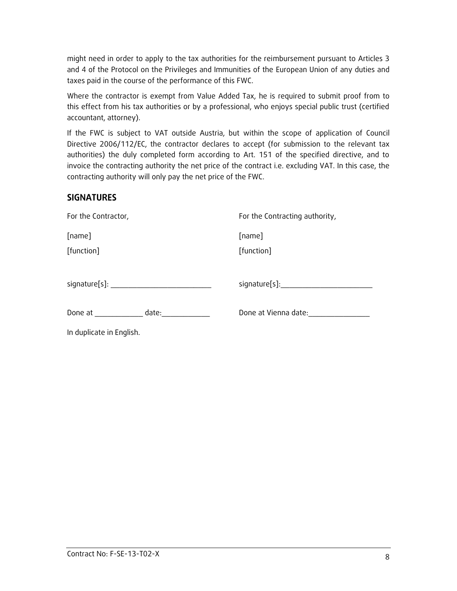might need in order to apply to the tax authorities for the reimbursement pursuant to Articles 3 and 4 of the Protocol on the Privileges and Immunities of the European Union of any duties and taxes paid in the course of the performance of this FWC.

Where the contractor is exempt from Value Added Tax, he is required to submit proof from to this effect from his tax authorities or by a professional, who enjoys special public trust (certified accountant, attorney).

If the FWC is subject to VAT outside Austria, but within the scope of application of Council Directive 2006/112/EC, the contractor declares to accept (for submission to the relevant tax authorities) the duly completed form according to Art. 151 of the specified directive, and to invoice the contracting authority the net price of the contract i.e. excluding VAT. In this case, the contracting authority will only pay the net price of the FWC.

### **SIGNATURES**

| For the Contractor,         | For the Contracting authority,   |  |
|-----------------------------|----------------------------------|--|
| [name]                      | [name]                           |  |
| [function]                  | [function]                       |  |
|                             |                                  |  |
|                             | signature[s]:___________________ |  |
|                             |                                  |  |
| Done at __________<br>date: | Done at Vienna date:             |  |
| In duplicate in English.    |                                  |  |
|                             |                                  |  |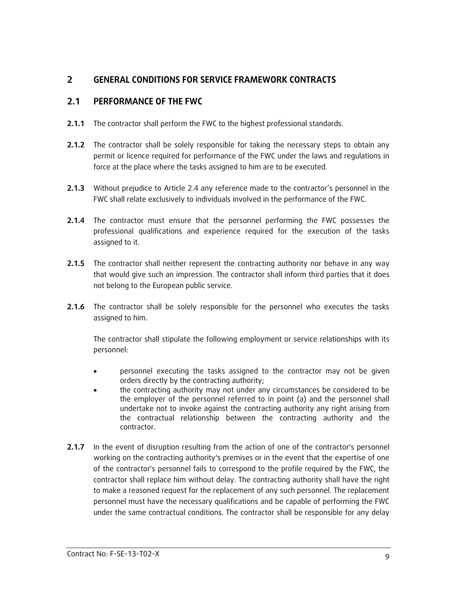### **2 GENERAL CONDITIONS FOR SERVICE FRAMEWORK CONTRACTS**

### **2.1 PERFORMANCE OF THE FWC**

- **2.1.1** The contractor shall perform the FWC to the highest professional standards.
- **2.1.2** The contractor shall be solely responsible for taking the necessary steps to obtain any permit or licence required for performance of the FWC under the laws and regulations in force at the place where the tasks assigned to him are to be executed.
- **2.1.3** Without prejudice to Article 2.4 any reference made to the contractor's personnel in the FWC shall relate exclusively to individuals involved in the performance of the FWC.
- **2.1.4** The contractor must ensure that the personnel performing the FWC possesses the professional qualifications and experience required for the execution of the tasks assigned to it.
- **2.1.5** The contractor shall neither represent the contracting authority nor behave in any way that would give such an impression. The contractor shall inform third parties that it does not belong to the European public service.
- **2.1.6** The contractor shall be solely responsible for the personnel who executes the tasks assigned to him.

The contractor shall stipulate the following employment or service relationships with its personnel:

- personnel executing the tasks assigned to the contractor may not be given orders directly by the contracting authority;
- the contracting authority may not under any circumstances be considered to be the employer of the personnel referred to in point (a) and the personnel shall undertake not to invoke against the contracting authority any right arising from the contractual relationship between the contracting authority and the contractor.
- **2.1.7** In the event of disruption resulting from the action of one of the contractor's personnel working on the contracting authority's premises or in the event that the expertise of one of the contractor's personnel fails to correspond to the profile required by the FWC, the contractor shall replace him without delay. The contracting authority shall have the right to make a reasoned request for the replacement of any such personnel. The replacement personnel must have the necessary qualifications and be capable of performing the FWC under the same contractual conditions. The contractor shall be responsible for any delay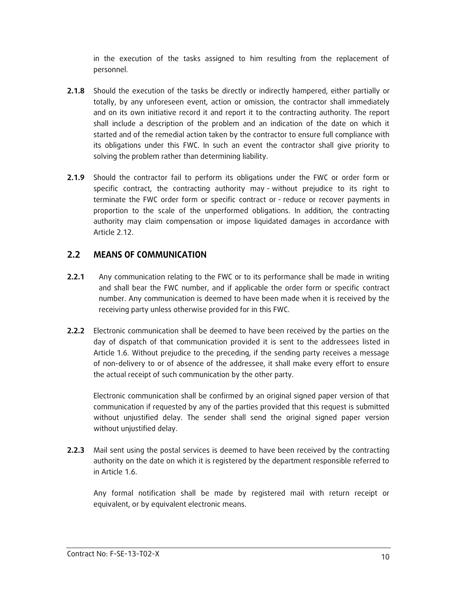in the execution of the tasks assigned to him resulting from the replacement of personnel.

- **2.1.8** Should the execution of the tasks be directly or indirectly hampered, either partially or totally, by any unforeseen event, action or omission, the contractor shall immediately and on its own initiative record it and report it to the contracting authority. The report shall include a description of the problem and an indication of the date on which it started and of the remedial action taken by the contractor to ensure full compliance with its obligations under this FWC. In such an event the contractor shall give priority to solving the problem rather than determining liability.
- **2.1.9** Should the contractor fail to perform its obligations under the FWC or order form or specific contract, the contracting authority may - without prejudice to its right to terminate the FWC order form or specific contract or - reduce or recover payments in proportion to the scale of the unperformed obligations. In addition, the contracting authority may claim compensation or impose liquidated damages in accordance with Article 2.12.

### **2.2 MEANS OF COMMUNICATION**

- **2.2.1** Any communication relating to the FWC or to its performance shall be made in writing and shall bear the FWC number, and if applicable the order form or specific contract number. Any communication is deemed to have been made when it is received by the receiving party unless otherwise provided for in this FWC.
- **2.2.2** Electronic communication shall be deemed to have been received by the parties on the day of dispatch of that communication provided it is sent to the addressees listed in Article 1.6. Without prejudice to the preceding, if the sending party receives a message of non-delivery to or of absence of the addressee, it shall make every effort to ensure the actual receipt of such communication by the other party.

Electronic communication shall be confirmed by an original signed paper version of that communication if requested by any of the parties provided that this request is submitted without unjustified delay. The sender shall send the original signed paper version without unjustified delay.

**2.2.3** Mail sent using the postal services is deemed to have been received by the contracting authority on the date on which it is registered by the department responsible referred to in Article 1.6.

Any formal notification shall be made by registered mail with return receipt or equivalent, or by equivalent electronic means.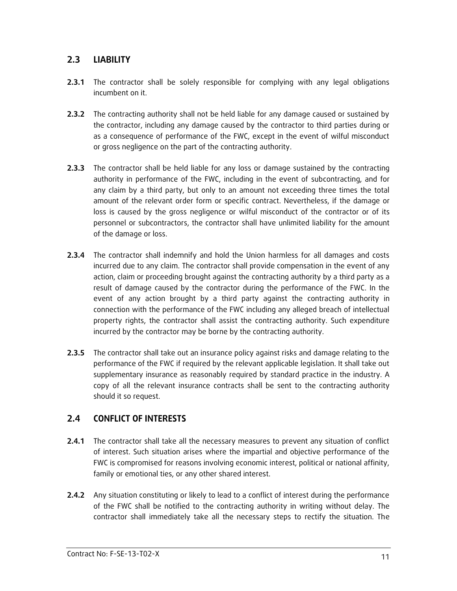### **2.3 LIABILITY**

- **2.3.1** The contractor shall be solely responsible for complying with any legal obligations incumbent on it.
- **2.3.2** The contracting authority shall not be held liable for any damage caused or sustained by the contractor, including any damage caused by the contractor to third parties during or as a consequence of performance of the FWC, except in the event of wilful misconduct or gross negligence on the part of the contracting authority.
- **2.3.3** The contractor shall be held liable for any loss or damage sustained by the contracting authority in performance of the FWC, including in the event of subcontracting, and for any claim by a third party, but only to an amount not exceeding three times the total amount of the relevant order form or specific contract. Nevertheless, if the damage or loss is caused by the gross negligence or wilful misconduct of the contractor or of its personnel or subcontractors, the contractor shall have unlimited liability for the amount of the damage or loss.
- **2.3.4** The contractor shall indemnify and hold the Union harmless for all damages and costs incurred due to any claim. The contractor shall provide compensation in the event of any action, claim or proceeding brought against the contracting authority by a third party as a result of damage caused by the contractor during the performance of the FWC. In the event of any action brought by a third party against the contracting authority in connection with the performance of the FWC including any alleged breach of intellectual property rights, the contractor shall assist the contracting authority. Such expenditure incurred by the contractor may be borne by the contracting authority.
- **2.3.5** The contractor shall take out an insurance policy against risks and damage relating to the performance of the FWC if required by the relevant applicable legislation. It shall take out supplementary insurance as reasonably required by standard practice in the industry. A copy of all the relevant insurance contracts shall be sent to the contracting authority should it so request.

### **2.4 CONFLICT OF INTERESTS**

- **2.4.1** The contractor shall take all the necessary measures to prevent any situation of conflict of interest. Such situation arises where the impartial and objective performance of the FWC is compromised for reasons involving economic interest, political or national affinity, family or emotional ties, or any other shared interest.
- **2.4.2** Any situation constituting or likely to lead to a conflict of interest during the performance of the FWC shall be notified to the contracting authority in writing without delay. The contractor shall immediately take all the necessary steps to rectify the situation. The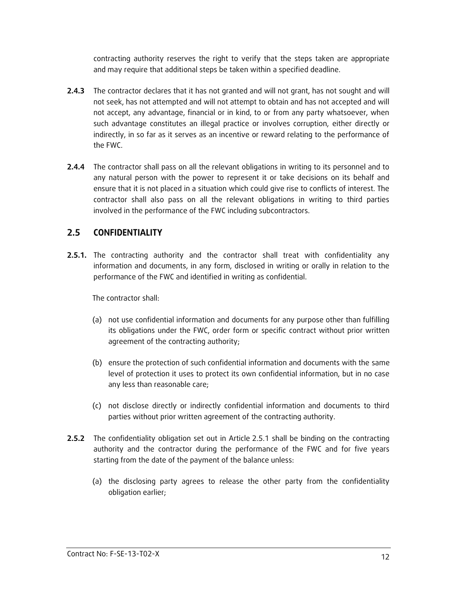contracting authority reserves the right to verify that the steps taken are appropriate and may require that additional steps be taken within a specified deadline.

- **2.4.3** The contractor declares that it has not granted and will not grant, has not sought and will not seek, has not attempted and will not attempt to obtain and has not accepted and will not accept, any advantage, financial or in kind, to or from any party whatsoever, when such advantage constitutes an illegal practice or involves corruption, either directly or indirectly, in so far as it serves as an incentive or reward relating to the performance of the FWC.
- **2.4.4** The contractor shall pass on all the relevant obligations in writing to its personnel and to any natural person with the power to represent it or take decisions on its behalf and ensure that it is not placed in a situation which could give rise to conflicts of interest. The contractor shall also pass on all the relevant obligations in writing to third parties involved in the performance of the FWC including subcontractors.

### **2.5 CONFIDENTIALITY**

**2.5.1.** The contracting authority and the contractor shall treat with confidentiality any information and documents, in any form, disclosed in writing or orally in relation to the performance of the FWC and identified in writing as confidential.

The contractor shall:

- (a) not use confidential information and documents for any purpose other than fulfilling its obligations under the FWC, order form or specific contract without prior written agreement of the contracting authority;
- (b) ensure the protection of such confidential information and documents with the same level of protection it uses to protect its own confidential information, but in no case any less than reasonable care;
- (c) not disclose directly or indirectly confidential information and documents to third parties without prior written agreement of the contracting authority.
- **2.5.2** The confidentiality obligation set out in Article 2.5.1 shall be binding on the contracting authority and the contractor during the performance of the FWC and for five years starting from the date of the payment of the balance unless:
	- (a) the disclosing party agrees to release the other party from the confidentiality obligation earlier;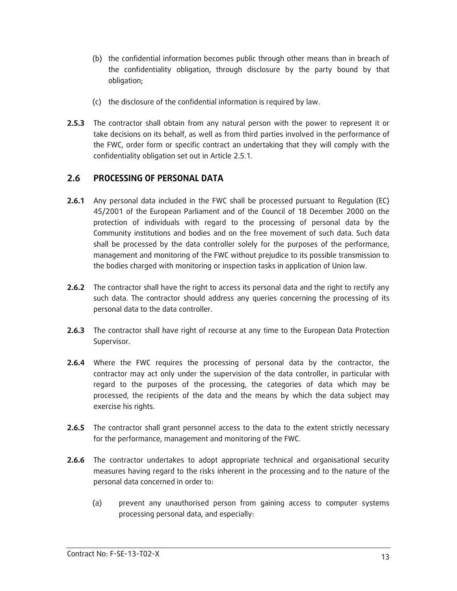- (b) the confidential information becomes public through other means than in breach of the confidentiality obligation, through disclosure by the party bound by that obligation;
- (c) the disclosure of the confidential information is required by law.
- **2.5.3** The contractor shall obtain from any natural person with the power to represent it or take decisions on its behalf, as well as from third parties involved in the performance of the FWC, order form or specific contract an undertaking that they will comply with the confidentiality obligation set out in Article 2.5.1.

### **2.6 PROCESSING OF PERSONAL DATA**

- **2.6.1** Any personal data included in the FWC shall be processed pursuant to Regulation (EC) 45/2001 of the European Parliament and of the Council of 18 December 2000 on the protection of individuals with regard to the processing of personal data by the Community institutions and bodies and on the free movement of such data. Such data shall be processed by the data controller solely for the purposes of the performance, management and monitoring of the FWC without prejudice to its possible transmission to the bodies charged with monitoring or inspection tasks in application of Union law.
- **2.6.2** The contractor shall have the right to access its personal data and the right to rectify any such data. The contractor should address any queries concerning the processing of its personal data to the data controller.
- **2.6.3** The contractor shall have right of recourse at any time to the European Data Protection Supervisor.
- **2.6.4** Where the FWC requires the processing of personal data by the contractor, the contractor may act only under the supervision of the data controller, in particular with regard to the purposes of the processing, the categories of data which may be processed, the recipients of the data and the means by which the data subject may exercise his rights.
- **2.6.5** The contractor shall grant personnel access to the data to the extent strictly necessary for the performance, management and monitoring of the FWC.
- **2.6.6** The contractor undertakes to adopt appropriate technical and organisational security measures having regard to the risks inherent in the processing and to the nature of the personal data concerned in order to:
	- (a) prevent any unauthorised person from gaining access to computer systems processing personal data, and especially: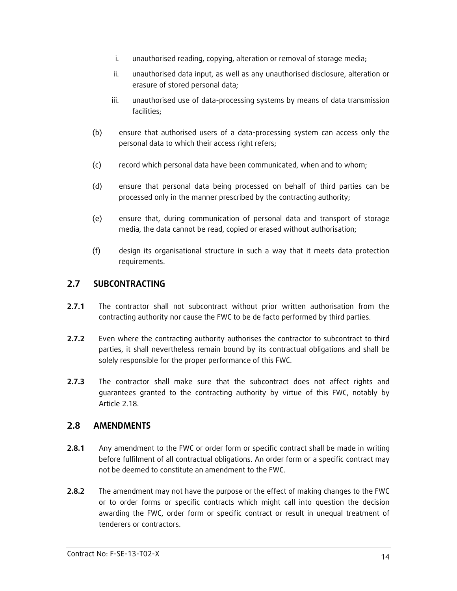- i. unauthorised reading, copying, alteration or removal of storage media;
- ii. unauthorised data input, as well as any unauthorised disclosure, alteration or erasure of stored personal data;
- iii. unauthorised use of data-processing systems by means of data transmission facilities;
- (b) ensure that authorised users of a data-processing system can access only the personal data to which their access right refers;
- (c) record which personal data have been communicated, when and to whom;
- (d) ensure that personal data being processed on behalf of third parties can be processed only in the manner prescribed by the contracting authority;
- (e) ensure that, during communication of personal data and transport of storage media, the data cannot be read, copied or erased without authorisation;
- (f) design its organisational structure in such a way that it meets data protection requirements.

### **2.7 SUBCONTRACTING**

- **2.7.1** The contractor shall not subcontract without prior written authorisation from the contracting authority nor cause the FWC to be de facto performed by third parties.
- **2.7.2** Even where the contracting authority authorises the contractor to subcontract to third parties, it shall nevertheless remain bound by its contractual obligations and shall be solely responsible for the proper performance of this FWC.
- **2.7.3** The contractor shall make sure that the subcontract does not affect rights and guarantees granted to the contracting authority by virtue of this FWC, notably by Article 2.18.

### **2.8 AMENDMENTS**

- **2.8.1** Any amendment to the FWC or order form or specific contract shall be made in writing before fulfilment of all contractual obligations. An order form or a specific contract may not be deemed to constitute an amendment to the FWC.
- **2.8.2** The amendment may not have the purpose or the effect of making changes to the FWC or to order forms or specific contracts which might call into question the decision awarding the FWC, order form or specific contract or result in unequal treatment of tenderers or contractors.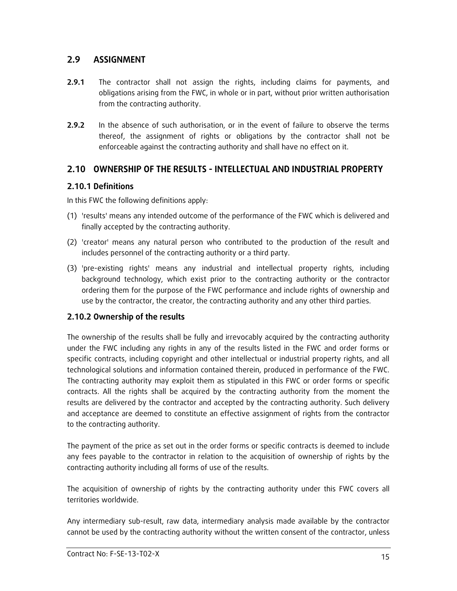### **2.9 ASSIGNMENT**

- **2.9.1** The contractor shall not assign the rights, including claims for payments, and obligations arising from the FWC, in whole or in part, without prior written authorisation from the contracting authority.
- **2.9.2** In the absence of such authorisation, or in the event of failure to observe the terms thereof, the assignment of rights or obligations by the contractor shall not be enforceable against the contracting authority and shall have no effect on it.

# **2.10 OWNERSHIP OF THE RESULTS - INTELLECTUAL AND INDUSTRIAL PROPERTY**

### **2.10.1 Definitions**

In this FWC the following definitions apply:

- (1) 'results' means any intended outcome of the performance of the FWC which is delivered and finally accepted by the contracting authority.
- (2) 'creator' means any natural person who contributed to the production of the result and includes personnel of the contracting authority or a third party.
- (3) 'pre-existing rights' means any industrial and intellectual property rights, including background technology, which exist prior to the contracting authority or the contractor ordering them for the purpose of the FWC performance and include rights of ownership and use by the contractor, the creator, the contracting authority and any other third parties.

### **2.10.2 Ownership of the results**

The ownership of the results shall be fully and irrevocably acquired by the contracting authority under the FWC including any rights in any of the results listed in the FWC and order forms or specific contracts, including copyright and other intellectual or industrial property rights, and all technological solutions and information contained therein, produced in performance of the FWC. The contracting authority may exploit them as stipulated in this FWC or order forms or specific contracts. All the rights shall be acquired by the contracting authority from the moment the results are delivered by the contractor and accepted by the contracting authority. Such delivery and acceptance are deemed to constitute an effective assignment of rights from the contractor to the contracting authority.

The payment of the price as set out in the order forms or specific contracts is deemed to include any fees payable to the contractor in relation to the acquisition of ownership of rights by the contracting authority including all forms of use of the results.

The acquisition of ownership of rights by the contracting authority under this FWC covers all territories worldwide.

Any intermediary sub-result, raw data, intermediary analysis made available by the contractor cannot be used by the contracting authority without the written consent of the contractor, unless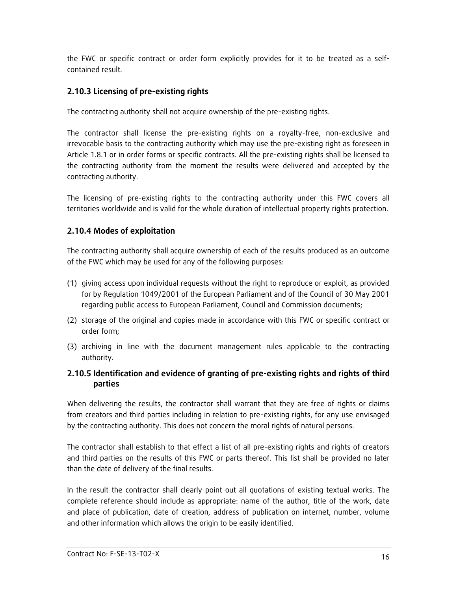the FWC or specific contract or order form explicitly provides for it to be treated as a selfcontained result.

### **2.10.3 Licensing of pre-existing rights**

The contracting authority shall not acquire ownership of the pre-existing rights.

The contractor shall license the pre-existing rights on a royalty-free, non-exclusive and irrevocable basis to the contracting authority which may use the pre-existing right as foreseen in Article 1.8.1 or in order forms or specific contracts. All the pre-existing rights shall be licensed to the contracting authority from the moment the results were delivered and accepted by the contracting authority.

The licensing of pre-existing rights to the contracting authority under this FWC covers all territories worldwide and is valid for the whole duration of intellectual property rights protection.

### **2.10.4 Modes of exploitation**

The contracting authority shall acquire ownership of each of the results produced as an outcome of the FWC which may be used for any of the following purposes:

- (1) giving access upon individual requests without the right to reproduce or exploit, as provided for by Regulation 1049/2001 of the European Parliament and of the Council of 30 May 2001 regarding public access to European Parliament, Council and Commission documents;
- (2) storage of the original and copies made in accordance with this FWC or specific contract or order form;
- (3) archiving in line with the document management rules applicable to the contracting authority.

### **2.10.5 Identification and evidence of granting of pre-existing rights and rights of third parties**

When delivering the results, the contractor shall warrant that they are free of rights or claims from creators and third parties including in relation to pre-existing rights, for any use envisaged by the contracting authority. This does not concern the moral rights of natural persons.

The contractor shall establish to that effect a list of all pre-existing rights and rights of creators and third parties on the results of this FWC or parts thereof. This list shall be provided no later than the date of delivery of the final results.

In the result the contractor shall clearly point out all quotations of existing textual works. The complete reference should include as appropriate: name of the author, title of the work, date and place of publication, date of creation, address of publication on internet, number, volume and other information which allows the origin to be easily identified.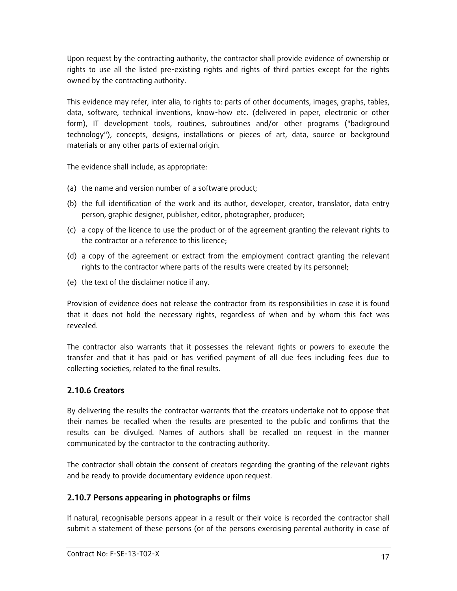Upon request by the contracting authority, the contractor shall provide evidence of ownership or rights to use all the listed pre-existing rights and rights of third parties except for the rights owned by the contracting authority.

This evidence may refer, inter alia, to rights to: parts of other documents, images, graphs, tables, data, software, technical inventions, know-how etc. (delivered in paper, electronic or other form), IT development tools, routines, subroutines and/or other programs ("background technology"), concepts, designs, installations or pieces of art, data, source or background materials or any other parts of external origin.

The evidence shall include, as appropriate:

- (a) the name and version number of a software product;
- (b) the full identification of the work and its author, developer, creator, translator, data entry person, graphic designer, publisher, editor, photographer, producer;
- (c) a copy of the licence to use the product or of the agreement granting the relevant rights to the contractor or a reference to this licence;
- (d) a copy of the agreement or extract from the employment contract granting the relevant rights to the contractor where parts of the results were created by its personnel;
- (e) the text of the disclaimer notice if any.

Provision of evidence does not release the contractor from its responsibilities in case it is found that it does not hold the necessary rights, regardless of when and by whom this fact was revealed.

The contractor also warrants that it possesses the relevant rights or powers to execute the transfer and that it has paid or has verified payment of all due fees including fees due to collecting societies, related to the final results.

### **2.10.6 Creators**

By delivering the results the contractor warrants that the creators undertake not to oppose that their names be recalled when the results are presented to the public and confirms that the results can be divulged. Names of authors shall be recalled on request in the manner communicated by the contractor to the contracting authority.

The contractor shall obtain the consent of creators regarding the granting of the relevant rights and be ready to provide documentary evidence upon request.

### **2.10.7 Persons appearing in photographs or films**

If natural, recognisable persons appear in a result or their voice is recorded the contractor shall submit a statement of these persons (or of the persons exercising parental authority in case of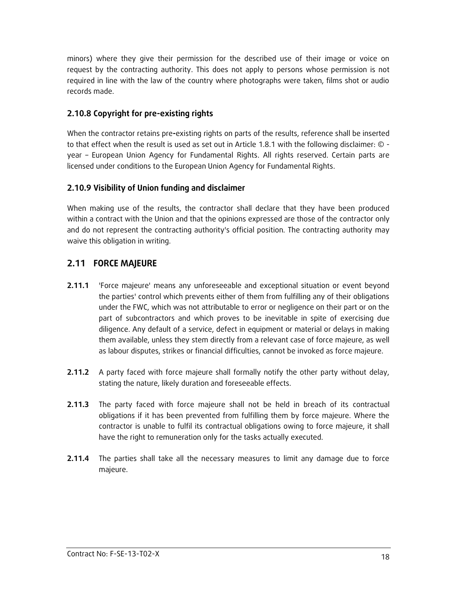minors) where they give their permission for the described use of their image or voice on request by the contracting authority. This does not apply to persons whose permission is not required in line with the law of the country where photographs were taken, films shot or audio records made.

### **2.10.8 Copyright for pre-existing rights**

When the contractor retains pre**-**existing rights on parts of the results, reference shall be inserted to that effect when the result is used as set out in Article 1.8.1 with the following disclaimer:  $\circ$  year – European Union Agency for Fundamental Rights. All rights reserved. Certain parts are licensed under conditions to the European Union Agency for Fundamental Rights.

### **2.10.9 Visibility of Union funding and disclaimer**

When making use of the results, the contractor shall declare that they have been produced within a contract with the Union and that the opinions expressed are those of the contractor only and do not represent the contracting authority's official position. The contracting authority may waive this obligation in writing.

# **2.11 FORCE MAJEURE**

- **2.11.1** 'Force majeure' means any unforeseeable and exceptional situation or event beyond the parties' control which prevents either of them from fulfilling any of their obligations under the FWC, which was not attributable to error or negligence on their part or on the part of subcontractors and which proves to be inevitable in spite of exercising due diligence. Any default of a service, defect in equipment or material or delays in making them available, unless they stem directly from a relevant case of force majeure, as well as labour disputes, strikes or financial difficulties, cannot be invoked as force majeure.
- **2.11.2** A party faced with force majeure shall formally notify the other party without delay, stating the nature, likely duration and foreseeable effects.
- **2.11.3** The party faced with force majeure shall not be held in breach of its contractual obligations if it has been prevented from fulfilling them by force majeure. Where the contractor is unable to fulfil its contractual obligations owing to force majeure, it shall have the right to remuneration only for the tasks actually executed.
- **2.11.4** The parties shall take all the necessary measures to limit any damage due to force majeure.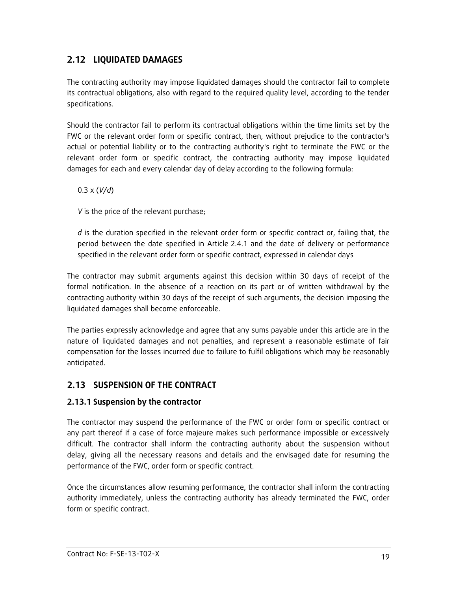# **2.12 LIQUIDATED DAMAGES**

The contracting authority may impose liquidated damages should the contractor fail to complete its contractual obligations, also with regard to the required quality level, according to the tender specifications.

Should the contractor fail to perform its contractual obligations within the time limits set by the FWC or the relevant order form or specific contract, then, without prejudice to the contractor's actual or potential liability or to the contracting authority's right to terminate the FWC or the relevant order form or specific contract, the contracting authority may impose liquidated damages for each and every calendar day of delay according to the following formula:

0.3 x (*V/d*)

*V* is the price of the relevant purchase;

*d* is the duration specified in the relevant order form or specific contract or, failing that, the period between the date specified in Article 2.4.1 and the date of delivery or performance specified in the relevant order form or specific contract, expressed in calendar days

The contractor may submit arguments against this decision within 30 days of receipt of the formal notification. In the absence of a reaction on its part or of written withdrawal by the contracting authority within 30 days of the receipt of such arguments, the decision imposing the liquidated damages shall become enforceable.

The parties expressly acknowledge and agree that any sums payable under this article are in the nature of liquidated damages and not penalties, and represent a reasonable estimate of fair compensation for the losses incurred due to failure to fulfil obligations which may be reasonably anticipated.

### **2.13 SUSPENSION OF THE CONTRACT**

### **2.13.1 Suspension by the contractor**

The contractor may suspend the performance of the FWC or order form or specific contract or any part thereof if a case of force majeure makes such performance impossible or excessively difficult. The contractor shall inform the contracting authority about the suspension without delay, giving all the necessary reasons and details and the envisaged date for resuming the performance of the FWC, order form or specific contract.

Once the circumstances allow resuming performance, the contractor shall inform the contracting authority immediately, unless the contracting authority has already terminated the FWC, order form or specific contract.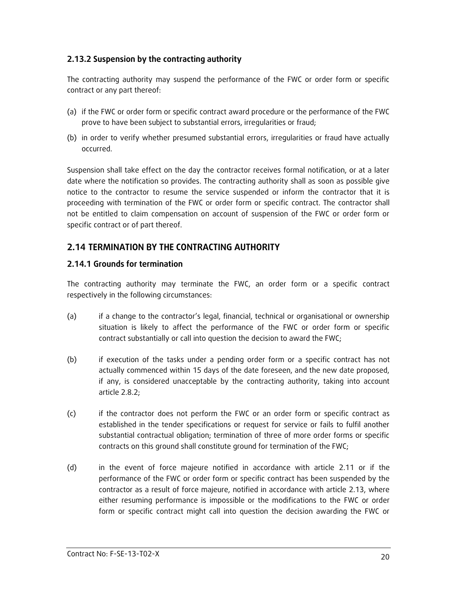### **2.13.2 Suspension by the contracting authority**

The contracting authority may suspend the performance of the FWC or order form or specific contract or any part thereof:

- (a) if the FWC or order form or specific contract award procedure or the performance of the FWC prove to have been subject to substantial errors, irregularities or fraud;
- (b) in order to verify whether presumed substantial errors, irregularities or fraud have actually occurred.

Suspension shall take effect on the day the contractor receives formal notification, or at a later date where the notification so provides. The contracting authority shall as soon as possible give notice to the contractor to resume the service suspended or inform the contractor that it is proceeding with termination of the FWC or order form or specific contract. The contractor shall not be entitled to claim compensation on account of suspension of the FWC or order form or specific contract or of part thereof.

### **2.14 TERMINATION BY THE CONTRACTING AUTHORITY**

#### **2.14.1 Grounds for termination**

The contracting authority may terminate the FWC, an order form or a specific contract respectively in the following circumstances:

- (a) if a change to the contractor's legal, financial, technical or organisational or ownership situation is likely to affect the performance of the FWC or order form or specific contract substantially or call into question the decision to award the FWC;
- (b) if execution of the tasks under a pending order form or a specific contract has not actually commenced within 15 days of the date foreseen, and the new date proposed, if any, is considered unacceptable by the contracting authority, taking into account article 2.8.2;
- (c) if the contractor does not perform the FWC or an order form or specific contract as established in the tender specifications or request for service or fails to fulfil another substantial contractual obligation; termination of three of more order forms or specific contracts on this ground shall constitute ground for termination of the FWC;
- (d) in the event of force majeure notified in accordance with article 2.11 or if the performance of the FWC or order form or specific contract has been suspended by the contractor as a result of force majeure, notified in accordance with article 2.13, where either resuming performance is impossible or the modifications to the FWC or order form or specific contract might call into question the decision awarding the FWC or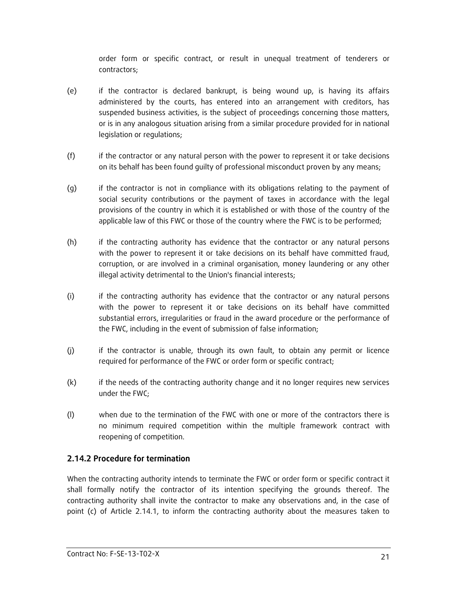order form or specific contract, or result in unequal treatment of tenderers or contractors;

- (e) if the contractor is declared bankrupt, is being wound up, is having its affairs administered by the courts, has entered into an arrangement with creditors, has suspended business activities, is the subject of proceedings concerning those matters, or is in any analogous situation arising from a similar procedure provided for in national legislation or regulations;
- (f) if the contractor or any natural person with the power to represent it or take decisions on its behalf has been found guilty of professional misconduct proven by any means;
- (g) if the contractor is not in compliance with its obligations relating to the payment of social security contributions or the payment of taxes in accordance with the legal provisions of the country in which it is established or with those of the country of the applicable law of this FWC or those of the country where the FWC is to be performed;
- (h) if the contracting authority has evidence that the contractor or any natural persons with the power to represent it or take decisions on its behalf have committed fraud, corruption, or are involved in a criminal organisation, money laundering or any other illegal activity detrimental to the Union's financial interests;
- (i) if the contracting authority has evidence that the contractor or any natural persons with the power to represent it or take decisions on its behalf have committed substantial errors, irregularities or fraud in the award procedure or the performance of the FWC, including in the event of submission of false information;
- (j) if the contractor is unable, through its own fault, to obtain any permit or licence required for performance of the FWC or order form or specific contract;
- (k) if the needs of the contracting authority change and it no longer requires new services under the FWC;
- (l) when due to the termination of the FWC with one or more of the contractors there is no minimum required competition within the multiple framework contract with reopening of competition.

### **2.14.2 Procedure for termination**

When the contracting authority intends to terminate the FWC or order form or specific contract it shall formally notify the contractor of its intention specifying the grounds thereof. The contracting authority shall invite the contractor to make any observations and, in the case of point (c) of Article 2.14.1, to inform the contracting authority about the measures taken to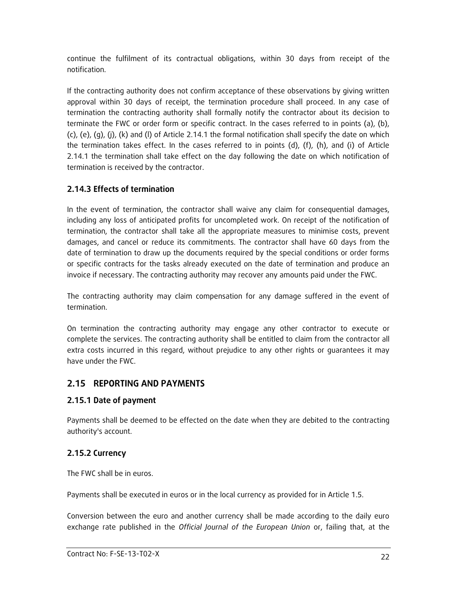continue the fulfilment of its contractual obligations, within 30 days from receipt of the notification.

If the contracting authority does not confirm acceptance of these observations by giving written approval within 30 days of receipt, the termination procedure shall proceed. In any case of termination the contracting authority shall formally notify the contractor about its decision to terminate the FWC or order form or specific contract. In the cases referred to in points (a), (b),  $(c)$ ,  $(e)$ ,  $(g)$ ,  $(j)$ ,  $(k)$  and  $(l)$  of Article 2.14.1 the formal notification shall specify the date on which the termination takes effect. In the cases referred to in points (d), (f), (h), and (i) of Article 2.14.1 the termination shall take effect on the day following the date on which notification of termination is received by the contractor.

# **2.14.3 Effects of termination**

In the event of termination, the contractor shall waive any claim for consequential damages, including any loss of anticipated profits for uncompleted work. On receipt of the notification of termination, the contractor shall take all the appropriate measures to minimise costs, prevent damages, and cancel or reduce its commitments. The contractor shall have 60 days from the date of termination to draw up the documents required by the special conditions or order forms or specific contracts for the tasks already executed on the date of termination and produce an invoice if necessary. The contracting authority may recover any amounts paid under the FWC.

The contracting authority may claim compensation for any damage suffered in the event of termination.

On termination the contracting authority may engage any other contractor to execute or complete the services. The contracting authority shall be entitled to claim from the contractor all extra costs incurred in this regard, without prejudice to any other rights or guarantees it may have under the FWC.

# **2.15 REPORTING AND PAYMENTS**

# **2.15.1 Date of payment**

Payments shall be deemed to be effected on the date when they are debited to the contracting authority's account.

# **2.15.2 Currency**

The FWC shall be in euros.

Payments shall be executed in euros or in the local currency as provided for in Article 1.5.

Conversion between the euro and another currency shall be made according to the daily euro exchange rate published in the *Official Journal of the European Union* or, failing that, at the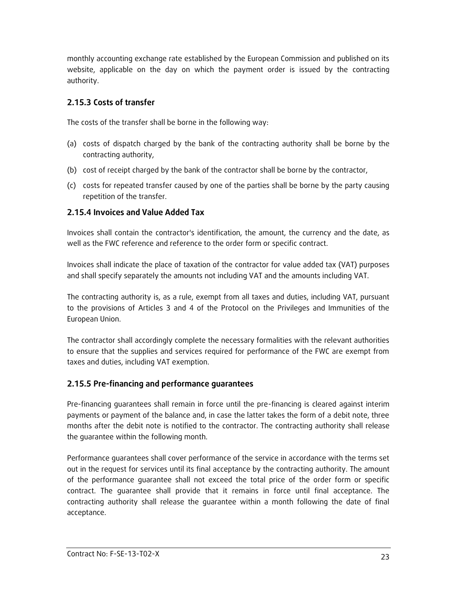monthly accounting exchange rate established by the European Commission and published on its website, applicable on the day on which the payment order is issued by the contracting authority.

### **2.15.3 Costs of transfer**

The costs of the transfer shall be borne in the following way:

- (a) costs of dispatch charged by the bank of the contracting authority shall be borne by the contracting authority,
- (b) cost of receipt charged by the bank of the contractor shall be borne by the contractor,
- (c) costs for repeated transfer caused by one of the parties shall be borne by the party causing repetition of the transfer.

### **2.15.4 Invoices and Value Added Tax**

Invoices shall contain the contractor's identification, the amount, the currency and the date, as well as the FWC reference and reference to the order form or specific contract.

Invoices shall indicate the place of taxation of the contractor for value added tax (VAT) purposes and shall specify separately the amounts not including VAT and the amounts including VAT.

The contracting authority is, as a rule, exempt from all taxes and duties, including VAT, pursuant to the provisions of Articles 3 and 4 of the Protocol on the Privileges and Immunities of the European Union.

The contractor shall accordingly complete the necessary formalities with the relevant authorities to ensure that the supplies and services required for performance of the FWC are exempt from taxes and duties, including VAT exemption.

# **2.15.5 Pre-financing and performance guarantees**

Pre-financing guarantees shall remain in force until the pre-financing is cleared against interim payments or payment of the balance and, in case the latter takes the form of a debit note, three months after the debit note is notified to the contractor. The contracting authority shall release the guarantee within the following month.

Performance guarantees shall cover performance of the service in accordance with the terms set out in the request for services until its final acceptance by the contracting authority. The amount of the performance guarantee shall not exceed the total price of the order form or specific contract. The guarantee shall provide that it remains in force until final acceptance. The contracting authority shall release the guarantee within a month following the date of final acceptance.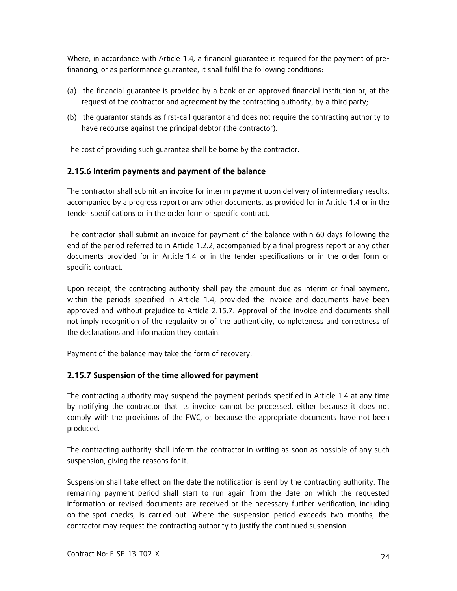Where, in accordance with Article 1.4*,* a financial guarantee is required for the payment of prefinancing, or as performance guarantee, it shall fulfil the following conditions:

- (a) the financial guarantee is provided by a bank or an approved financial institution or, at the request of the contractor and agreement by the contracting authority, by a third party;
- (b) the guarantor stands as first-call guarantor and does not require the contracting authority to have recourse against the principal debtor (the contractor).

The cost of providing such guarantee shall be borne by the contractor.

### **2.15.6 Interim payments and payment of the balance**

The contractor shall submit an invoice for interim payment upon delivery of intermediary results, accompanied by a progress report or any other documents, as provided for in Article 1.4 or in the tender specifications or in the order form or specific contract.

The contractor shall submit an invoice for payment of the balance within 60 days following the end of the period referred to in Article 1.2.2, accompanied by a final progress report or any other documents provided for in Article 1.4 or in the tender specifications or in the order form or specific contract.

Upon receipt, the contracting authority shall pay the amount due as interim or final payment, within the periods specified in Article 1.4, provided the invoice and documents have been approved and without prejudice to Article 2.15.7. Approval of the invoice and documents shall not imply recognition of the regularity or of the authenticity, completeness and correctness of the declarations and information they contain.

Payment of the balance may take the form of recovery.

### **2.15.7 Suspension of the time allowed for payment**

The contracting authority may suspend the payment periods specified in Article 1.4 at any time by notifying the contractor that its invoice cannot be processed, either because it does not comply with the provisions of the FWC, or because the appropriate documents have not been produced.

The contracting authority shall inform the contractor in writing as soon as possible of any such suspension, giving the reasons for it.

Suspension shall take effect on the date the notification is sent by the contracting authority. The remaining payment period shall start to run again from the date on which the requested information or revised documents are received or the necessary further verification, including on-the-spot checks, is carried out. Where the suspension period exceeds two months, the contractor may request the contracting authority to justify the continued suspension.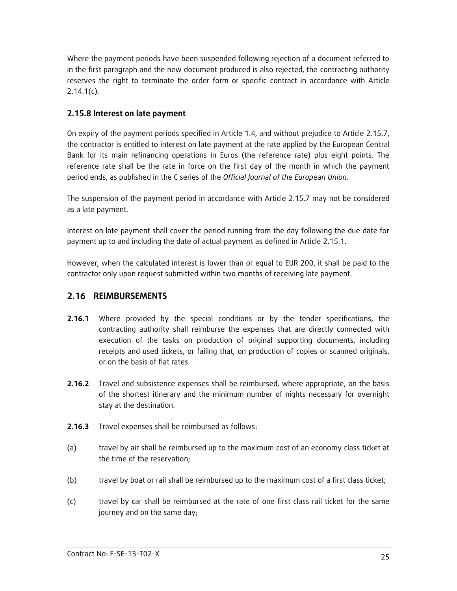Where the payment periods have been suspended following rejection of a document referred to in the first paragraph and the new document produced is also rejected, the contracting authority reserves the right to terminate the order form or specific contract in accordance with Article 2.14.1(c)*.*

### **2.15.8 Interest on late payment**

On expiry of the payment periods specified in Article 1.4, and without prejudice to Article 2.15.7, the contractor is entitled to interest on late payment at the rate applied by the European Central Bank for its main refinancing operations in Euros (the reference rate) plus eight points. The reference rate shall be the rate in force on the first day of the month in which the payment period ends, as published in the C series of the *Official Journal of the European Union*.

The suspension of the payment period in accordance with Article 2.15.7 may not be considered as a late payment.

Interest on late payment shall cover the period running from the day following the due date for payment up to and including the date of actual payment as defined in Article 2.15.1.

However, when the calculated interest is lower than or equal to EUR 200, it shall be paid to the contractor only upon request submitted within two months of receiving late payment.

### **2.16 REIMBURSEMENTS**

- **2.16.1** Where provided by the special conditions or by the tender specifications, the contracting authority shall reimburse the expenses that are directly connected with execution of the tasks on production of original supporting documents, including receipts and used tickets, or failing that, on production of copies or scanned originals, or on the basis of flat rates.
- **2.16.2** Travel and subsistence expenses shall be reimbursed, where appropriate, on the basis of the shortest itinerary and the minimum number of nights necessary for overnight stay at the destination.
- **2.16.3** Travel expenses shall be reimbursed as follows:
- (a) travel by air shall be reimbursed up to the maximum cost of an economy class ticket at the time of the reservation;
- (b) travel by boat or rail shall be reimbursed up to the maximum cost of a first class ticket;
- (c) travel by car shall be reimbursed at the rate of one first class rail ticket for the same journey and on the same day;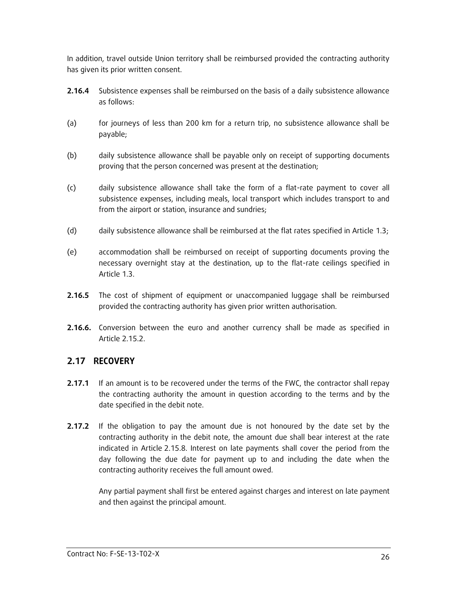In addition, travel outside Union territory shall be reimbursed provided the contracting authority has given its prior written consent.

- **2.16.4** Subsistence expenses shall be reimbursed on the basis of a daily subsistence allowance as follows:
- (a) for journeys of less than 200 km for a return trip, no subsistence allowance shall be payable;
- (b) daily subsistence allowance shall be payable only on receipt of supporting documents proving that the person concerned was present at the destination;
- (c) daily subsistence allowance shall take the form of a flat-rate payment to cover all subsistence expenses, including meals, local transport which includes transport to and from the airport or station, insurance and sundries;
- (d) daily subsistence allowance shall be reimbursed at the flat rates specified in Article 1.3;
- (e) accommodation shall be reimbursed on receipt of supporting documents proving the necessary overnight stay at the destination, up to the flat-rate ceilings specified in Article 1.3.
- **2.16.5** The cost of shipment of equipment or unaccompanied luggage shall be reimbursed provided the contracting authority has given prior written authorisation.
- **2.16.6.** Conversion between the euro and another currency shall be made as specified in Article 2.15.2.

### **2.17 RECOVERY**

- **2.17.1** If an amount is to be recovered under the terms of the FWC, the contractor shall repay the contracting authority the amount in question according to the terms and by the date specified in the debit note.
- **2.17.2** If the obligation to pay the amount due is not honoured by the date set by the contracting authority in the debit note, the amount due shall bear interest at the rate indicated in Article 2.15.8. Interest on late payments shall cover the period from the day following the due date for payment up to and including the date when the contracting authority receives the full amount owed.

Any partial payment shall first be entered against charges and interest on late payment and then against the principal amount.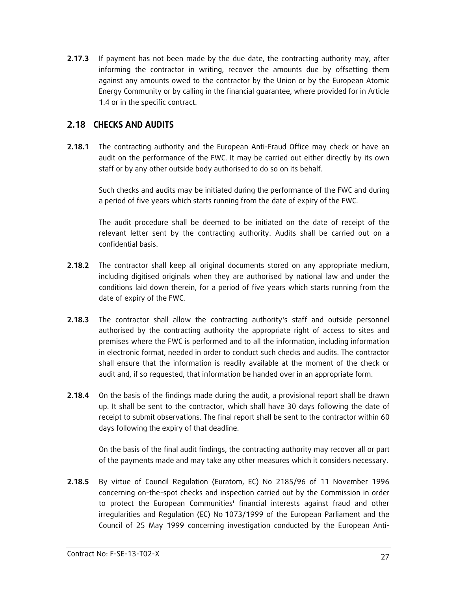**2.17.3** If payment has not been made by the due date, the contracting authority may, after informing the contractor in writing, recover the amounts due by offsetting them against any amounts owed to the contractor by the Union or by the European Atomic Energy Community or by calling in the financial guarantee, where provided for in Article 1.4 or in the specific contract.

### **2.18 CHECKS AND AUDITS**

**2.18.1** The contracting authority and the European Anti-Fraud Office may check or have an audit on the performance of the FWC. It may be carried out either directly by its own staff or by any other outside body authorised to do so on its behalf.

Such checks and audits may be initiated during the performance of the FWC and during a period of five years which starts running from the date of expiry of the FWC.

The audit procedure shall be deemed to be initiated on the date of receipt of the relevant letter sent by the contracting authority. Audits shall be carried out on a confidential basis.

- **2.18.2** The contractor shall keep all original documents stored on any appropriate medium, including digitised originals when they are authorised by national law and under the conditions laid down therein, for a period of five years which starts running from the date of expiry of the FWC.
- **2.18.3** The contractor shall allow the contracting authority's staff and outside personnel authorised by the contracting authority the appropriate right of access to sites and premises where the FWC is performed and to all the information, including information in electronic format, needed in order to conduct such checks and audits. The contractor shall ensure that the information is readily available at the moment of the check or audit and, if so requested, that information be handed over in an appropriate form.
- **2.18.4** On the basis of the findings made during the audit, a provisional report shall be drawn up. It shall be sent to the contractor, which shall have 30 days following the date of receipt to submit observations. The final report shall be sent to the contractor within 60 days following the expiry of that deadline.

On the basis of the final audit findings, the contracting authority may recover all or part of the payments made and may take any other measures which it considers necessary.

**2.18.5** By virtue of Council Regulation (Euratom, EC) No 2185/96 of 11 November 1996 concerning on-the-spot checks and inspection carried out by the Commission in order to protect the European Communities' financial interests against fraud and other irregularities and Regulation (EC) No 1073/1999 of the European Parliament and the Council of 25 May 1999 concerning investigation conducted by the European Anti-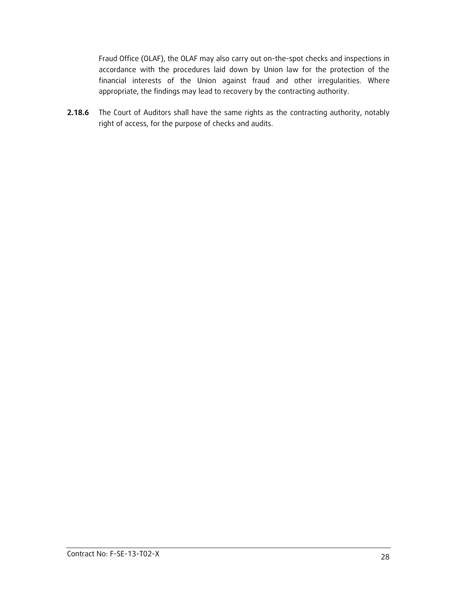Fraud Office (OLAF), the OLAF may also carry out on-the-spot checks and inspections in accordance with the procedures laid down by Union law for the protection of the financial interests of the Union against fraud and other irregularities. Where appropriate, the findings may lead to recovery by the contracting authority.

**2.18.6** The Court of Auditors shall have the same rights as the contracting authority, notably right of access, for the purpose of checks and audits.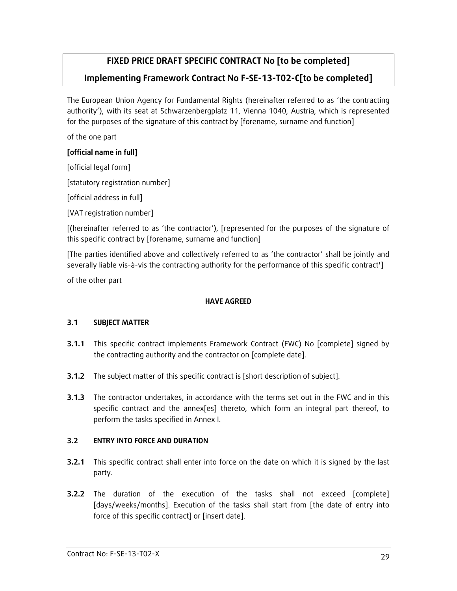# **FIXED PRICE DRAFT SPECIFIC CONTRACT No [to be completed]**

# **Implementing Framework Contract No F-SE-13-T02-C[to be completed]**

The European Union Agency for Fundamental Rights (hereinafter referred to as 'the contracting authority'), with its seat at Schwarzenbergplatz 11, Vienna 1040, Austria, which is represented for the purposes of the signature of this contract by [forename, surname and function]

of the one part

### **[official name in full]**

[official legal form] [statutory registration number] [official address in full]

[VAT registration number]

[(hereinafter referred to as 'the contractor'), [represented for the purposes of the signature of this specific contract by [forename, surname and function]

[The parties identified above and collectively referred to as 'the contractor' shall be jointly and severally liable vis-à-vis the contracting authority for the performance of this specific contract']

of the other part

#### **HAVE AGREED**

### **3.1 SUBJECT MATTER**

- **3.1.1** This specific contract implements Framework Contract (FWC) No [complete] signed by the contracting authority and the contractor on [complete date].
- **3.1.2** The subject matter of this specific contract is [short description of subject].
- **3.1.3** The contractor undertakes, in accordance with the terms set out in the FWC and in this specific contract and the annex[es] thereto, which form an integral part thereof, to perform the tasks specified in Annex I.

### **3.2 ENTRY INTO FORCE AND DURATION**

- **3.2.1** This specific contract shall enter into force on the date on which it is signed by the last party.
- **3.2.2** The duration of the execution of the tasks shall not exceed [complete] [days/weeks/months]. Execution of the tasks shall start from [the date of entry into force of this specific contract] or [insert date].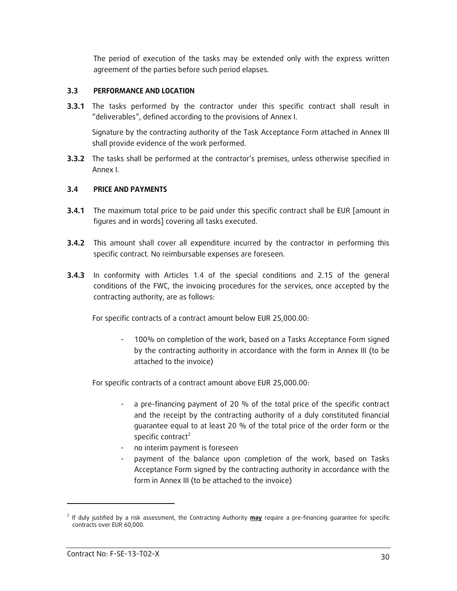The period of execution of the tasks may be extended only with the express written agreement of the parties before such period elapses.

#### **3.3 PERFORMANCE AND LOCATION**

**3.3.1** The tasks performed by the contractor under this specific contract shall result in "deliverables", defined according to the provisions of Annex I.

Signature by the contracting authority of the Task Acceptance Form attached in Annex III shall provide evidence of the work performed.

**3.3.2** The tasks shall be performed at the contractor's premises, unless otherwise specified in Annex I.

#### **3.4 PRICE AND PAYMENTS**

- **3.4.1** The maximum total price to be paid under this specific contract shall be EUR [amount in figures and in words] covering all tasks executed.
- **3.4.2** This amount shall cover all expenditure incurred by the contractor in performing this specific contract. No reimbursable expenses are foreseen.
- **3.4.3** In conformity with Articles 1.4 of the special conditions and 2.15 of the general conditions of the FWC, the invoicing procedures for the services, once accepted by the contracting authority, are as follows:

For specific contracts of a contract amount below EUR 25,000.00:

100% on completion of the work, based on a Tasks Acceptance Form signed by the contracting authority in accordance with the form in Annex III (to be attached to the invoice)

For specific contracts of a contract amount above EUR 25,000.00:

- a pre-financing payment of 20 % of the total price of the specific contract and the receipt by the contracting authority of a duly constituted financial guarantee equal to at least 20 % of the total price of the order form or the specific contract<sup>2</sup>
- no interim payment is foreseen
- payment of the balance upon completion of the work, based on Tasks Acceptance Form signed by the contracting authority in accordance with the form in Annex III (to be attached to the invoice)

l

<sup>2</sup> If duly justified by a risk assessment, the Contracting Authority **may** require a pre-financing guarantee for specific contracts over EUR 60,000.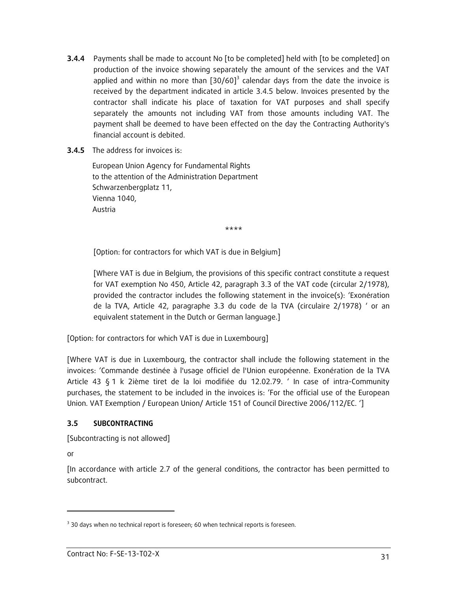- **3.4.4** Payments shall be made to account No [to be completed] held with [to be completed] on production of the invoice showing separately the amount of the services and the VAT applied and within no more than  $[30/60]^3$  calendar days from the date the invoice is received by the department indicated in article 3.4.5 below. Invoices presented by the contractor shall indicate his place of taxation for VAT purposes and shall specify separately the amounts not including VAT from those amounts including VAT. The payment shall be deemed to have been effected on the day the Contracting Authority's financial account is debited.
- **3.4.5** The address for invoices is:

European Union Agency for Fundamental Rights to the attention of the Administration Department Schwarzenbergplatz 11, Vienna 1040, Austria

\*\*\*\*

[Option: for contractors for which VAT is due in Belgium]

[Where VAT is due in Belgium, the provisions of this specific contract constitute a request for VAT exemption No 450, Article 42, paragraph 3.3 of the VAT code (circular 2/1978), provided the contractor includes the following statement in the invoice(s): 'Exonération de la TVA, Article 42, paragraphe 3.3 du code de la TVA (circulaire 2/1978) ' or an equivalent statement in the Dutch or German language.]

[Option: for contractors for which VAT is due in Luxembourg]

[Where VAT is due in Luxembourg, the contractor shall include the following statement in the invoices: 'Commande destinée à l'usage officiel de l'Union européenne. Exonération de la TVA Article 43 § 1 k 2ième tiret de la loi modifiée du 12.02.79. ' In case of intra-Community purchases, the statement to be included in the invoices is: 'For the official use of the European Union. VAT Exemption / European Union/ Article 151 of Council Directive 2006/112/EC. ']

#### **3.5 SUBCONTRACTING**

[Subcontracting is not allowed]

or

-

[In accordance with article 2.7 of the general conditions, the contractor has been permitted to subcontract.

 $3$  30 days when no technical report is foreseen; 60 when technical reports is foreseen.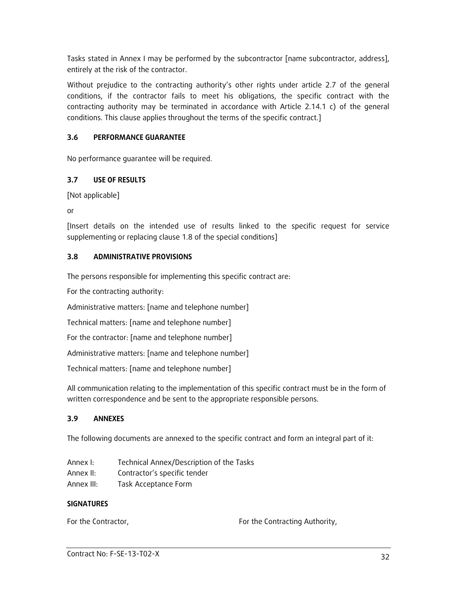Tasks stated in Annex I may be performed by the subcontractor [name subcontractor, address], entirely at the risk of the contractor.

Without prejudice to the contracting authority's other rights under article 2.7 of the general conditions, if the contractor fails to meet his obligations, the specific contract with the contracting authority may be terminated in accordance with Article 2.14.1 c) of the general conditions. This clause applies throughout the terms of the specific contract.]

### **3.6 PERFORMANCE GUARANTEE**

No performance guarantee will be required.

### **3.7 USE OF RESULTS**

```
[Not applicable]
```
or

[Insert details on the intended use of results linked to the specific request for service supplementing or replacing clause 1.8 of the special conditions]

### **3.8 ADMINISTRATIVE PROVISIONS**

The persons responsible for implementing this specific contract are:

For the contracting authority:

Administrative matters: [name and telephone number]

Technical matters: [name and telephone number]

For the contractor: [name and telephone number]

Administrative matters: [name and telephone number]

Technical matters: [name and telephone number]

All communication relating to the implementation of this specific contract must be in the form of written correspondence and be sent to the appropriate responsible persons.

### **3.9 ANNEXES**

The following documents are annexed to the specific contract and form an integral part of it:

| Annex I:   | Technical Annex/Description of the Tasks |
|------------|------------------------------------------|
| Annex II:  | Contractor's specific tender             |
| Annex III: | Task Acceptance Form                     |

### **SIGNATURES**

For the Contractor, The Contracting Authority,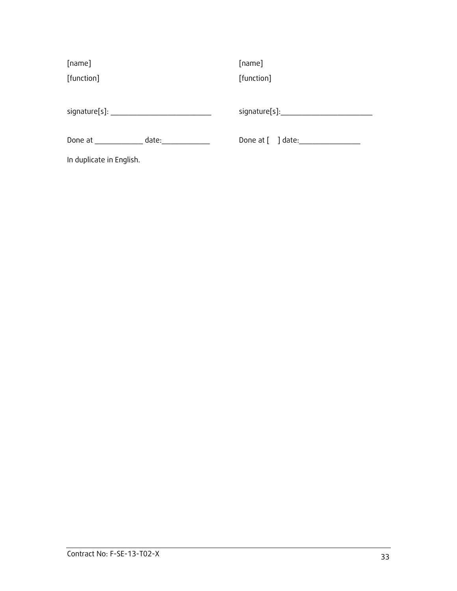| [name]                                    | [name]                              |  |
|-------------------------------------------|-------------------------------------|--|
| [function]                                | [function]                          |  |
|                                           |                                     |  |
| signature[s]: ___________________________ | signature[s]:_______________        |  |
| date:<br>Done at                          | Done at $\lceil \quad \rceil$ date: |  |
| In duplicate in English.                  |                                     |  |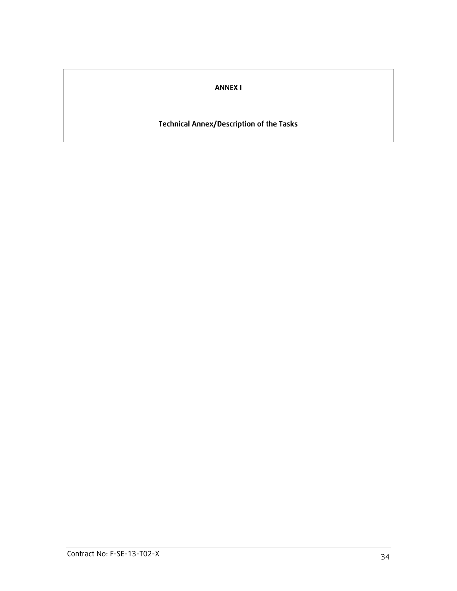# **ANNEX I**

### **Technical Annex/Description of the Tasks**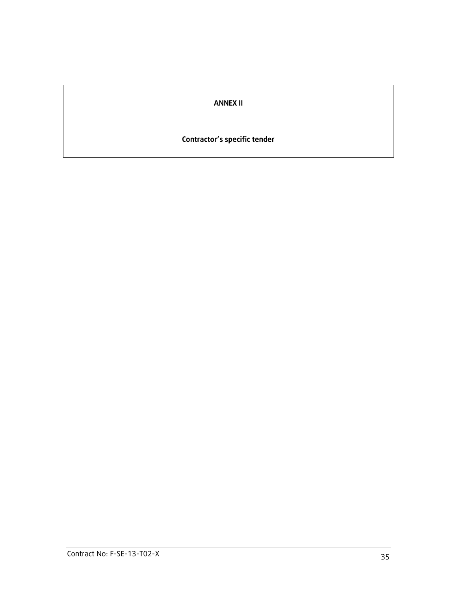### **ANNEX II**

### **Contractor's specific tender**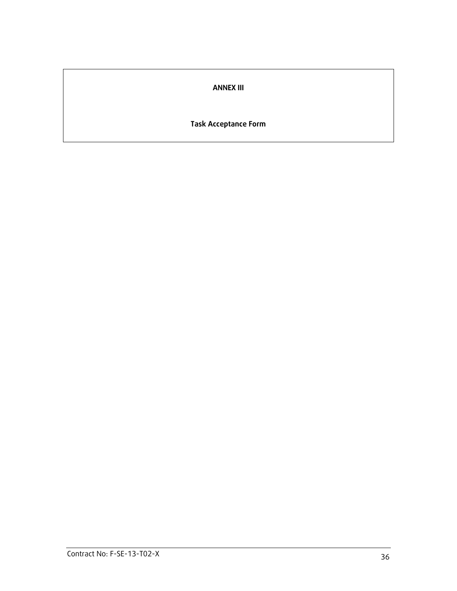### **ANNEX III**

### **Task Acceptance Form**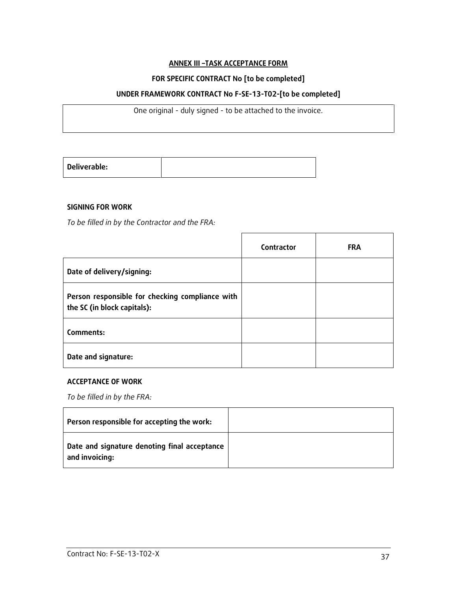#### **ANNEX III –TASK ACCEPTANCE FORM**

#### **FOR SPECIFIC CONTRACT No [to be completed]**

#### **UNDER FRAMEWORK CONTRACT No F-SE-13-T02-[to be completed]**

One original - duly signed - to be attached to the invoice.

| Deliverable: |  |
|--------------|--|

#### **SIGNING FOR WORK**

*To be filled in by the Contractor and the FRA:*

|                                                                                | Contractor | <b>FRA</b> |
|--------------------------------------------------------------------------------|------------|------------|
| Date of delivery/signing:                                                      |            |            |
| Person responsible for checking compliance with<br>the SC (in block capitals): |            |            |
| Comments:                                                                      |            |            |
| Date and signature:                                                            |            |            |

#### **ACCEPTANCE OF WORK**

*To be filled in by the FRA:*

| Person responsible for accepting the work:                     |  |
|----------------------------------------------------------------|--|
| Date and signature denoting final acceptance<br>and invoicing: |  |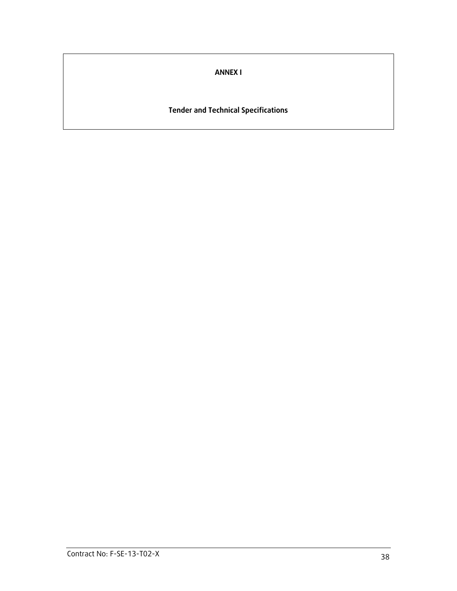**ANNEX I**

**Tender and Technical Specifications**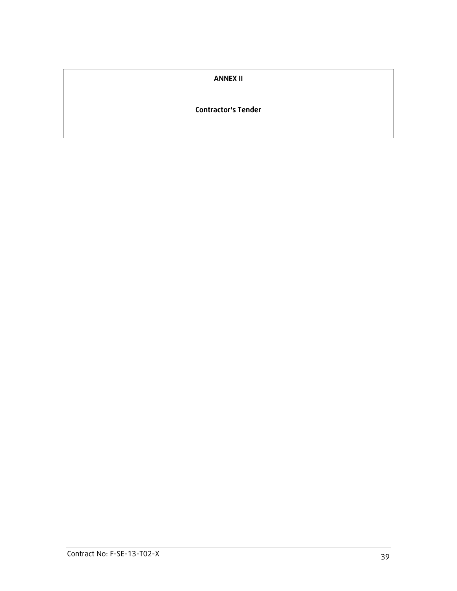#### **ANNEX II**

#### **Contractor's Tender**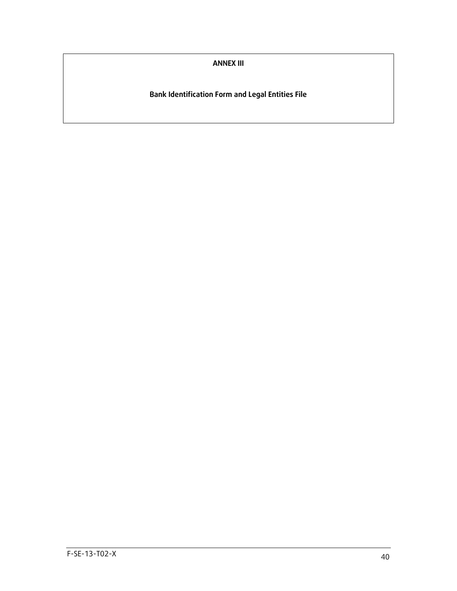**ANNEX III**

**Bank Identification Form and Legal Entities File**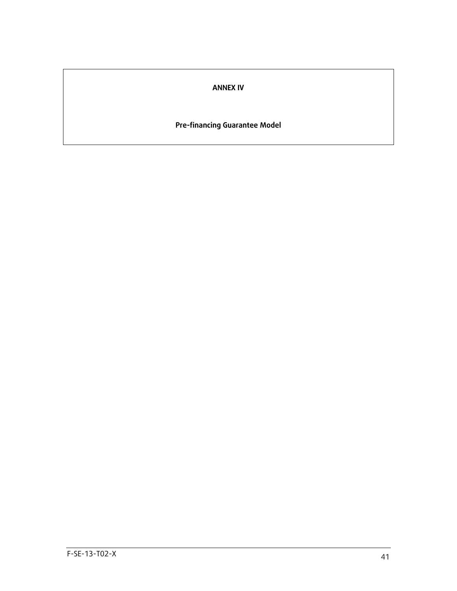### **ANNEX IV**

### **Pre-financing Guarantee Model**